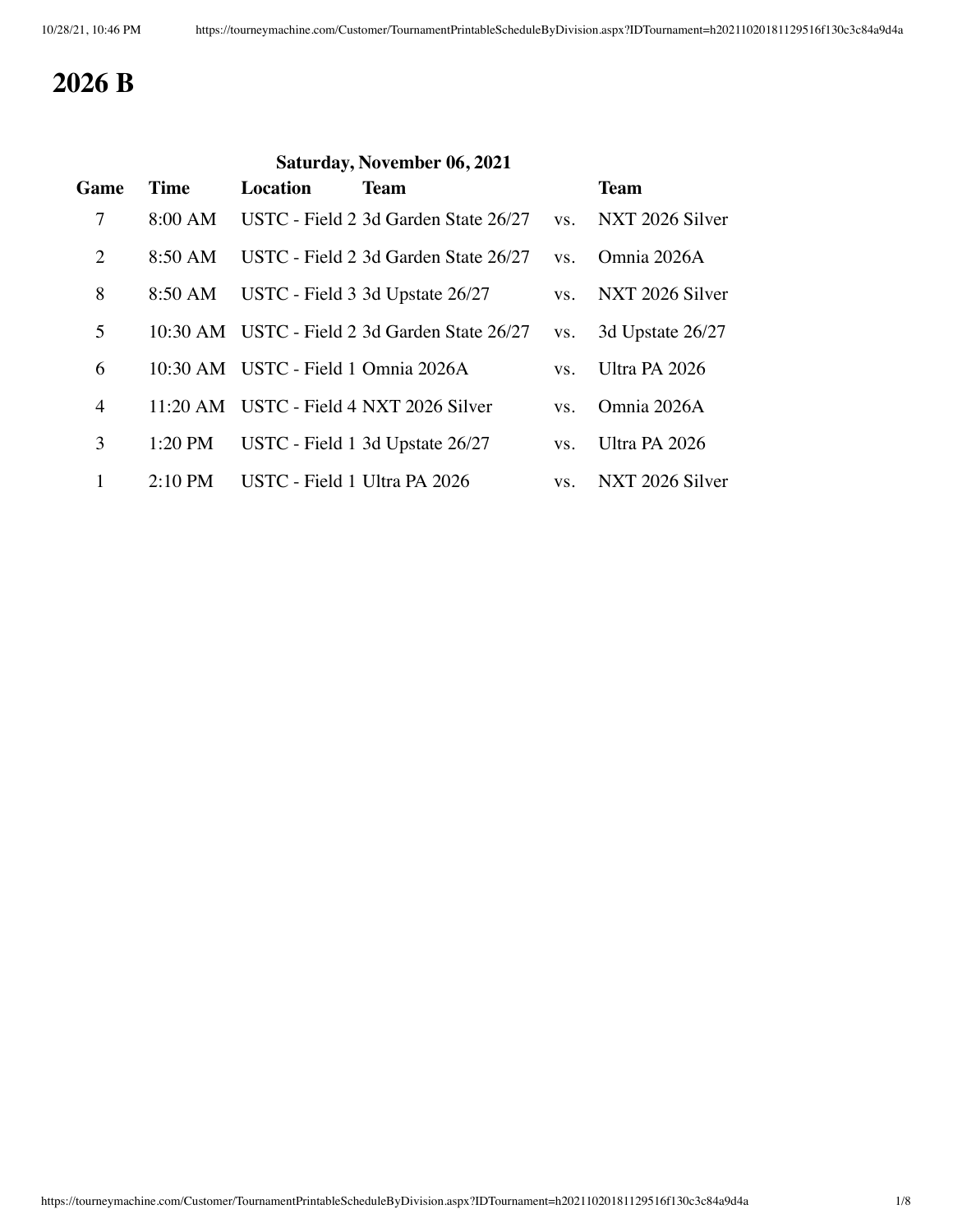## **2026 B**

| Saturday, November 06, 2021 |                   |                                     |                                               |     |                  |
|-----------------------------|-------------------|-------------------------------------|-----------------------------------------------|-----|------------------|
| Game                        | <b>Time</b>       | <b>Location</b>                     | <b>Team</b>                                   |     | <b>Team</b>      |
| $\overline{7}$              | 8:00 AM           |                                     | USTC - Field 2 3d Garden State 26/27          | VS. | NXT 2026 Silver  |
| $\overline{2}$              | 8:50 AM           |                                     | USTC - Field 2 3d Garden State 26/27          | VS. | Omnia 2026A      |
| 8                           | 8:50 AM           |                                     | USTC - Field 3 3d Upstate 26/27               | VS. | NXT 2026 Silver  |
| 5                           |                   |                                     | 10:30 AM USTC - Field 2 3d Garden State 26/27 | VS. | 3d Upstate 26/27 |
| 6                           |                   | 10:30 AM USTC - Field 1 Omnia 2026A |                                               | VS. | Ultra PA 2026    |
| $\overline{4}$              |                   |                                     | 11:20 AM USTC - Field 4 NXT 2026 Silver       | VS. | Omnia 2026A      |
| 3                           | $1:20$ PM         |                                     | USTC - Field 1 3d Upstate 26/27               | VS. | Ultra PA 2026    |
| 1                           | $2:10 \text{ PM}$ | USTC - Field 1 Ultra PA 2026        |                                               | VS. | NXT 2026 Silver  |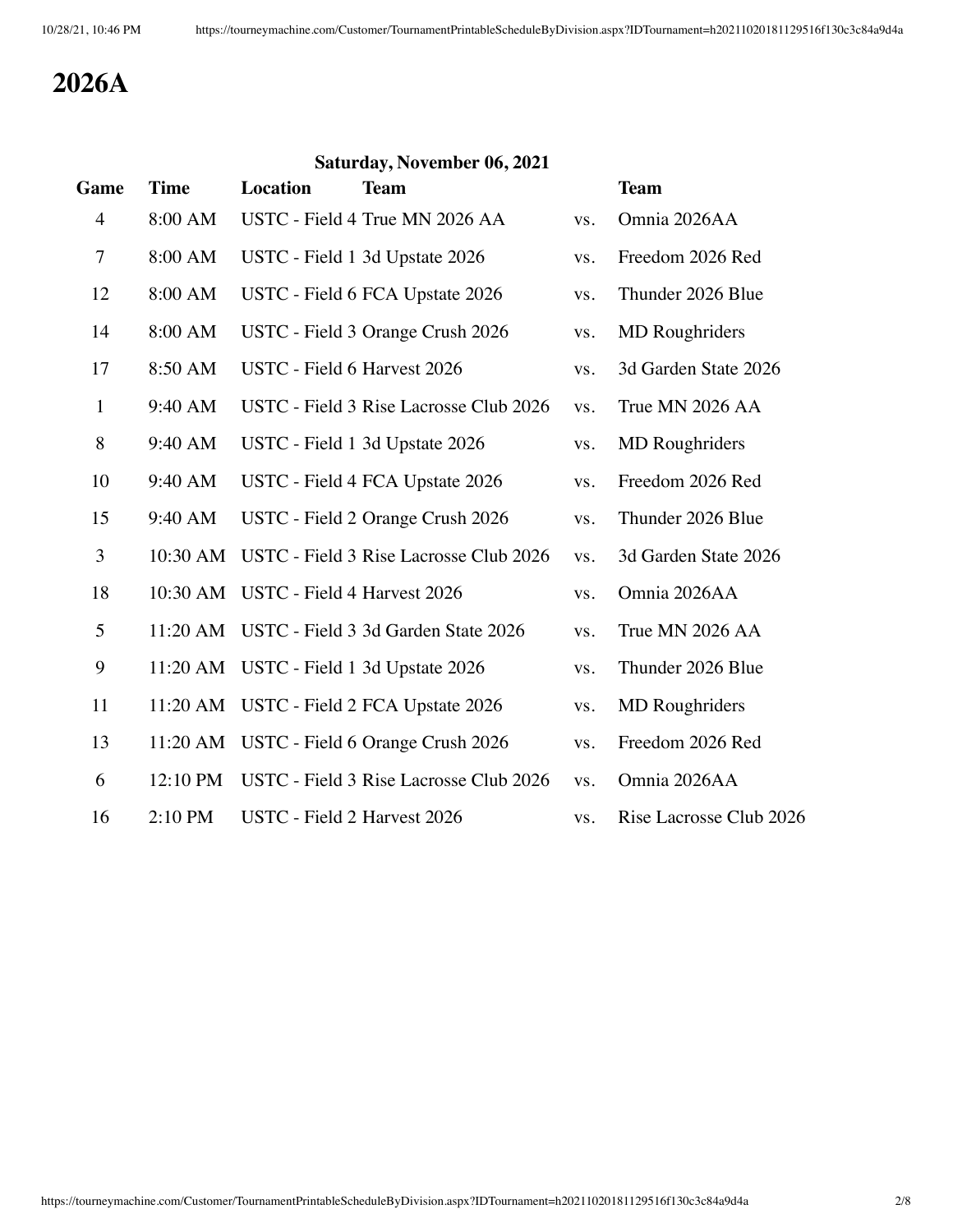## **2026A**

#### **Saturday, November 06, 2021**

| Game           | <b>Time</b> | Location                             | <b>Team</b>                            |     | <b>Team</b>             |
|----------------|-------------|--------------------------------------|----------------------------------------|-----|-------------------------|
| $\overline{4}$ | 8:00 AM     |                                      | USTC - Field 4 True MN 2026 AA         | VS. | Omnia 2026AA            |
| $\tau$         | 8:00 AM     |                                      | USTC - Field 1 3d Upstate 2026         | VS. | Freedom 2026 Red        |
| 12             | 8:00 AM     |                                      | USTC - Field 6 FCA Upstate 2026        | VS. | Thunder 2026 Blue       |
| 14             | 8:00 AM     |                                      | USTC - Field 3 Orange Crush 2026       | VS. | <b>MD</b> Roughriders   |
| 17             | 8:50 AM     | USTC - Field 6 Harvest 2026          |                                        | VS. | 3d Garden State 2026    |
| $\mathbf{1}$   | 9:40 AM     |                                      | USTC - Field 3 Rise Lacrosse Club 2026 | VS. | True MN 2026 AA         |
| 8              | 9:40 AM     |                                      | USTC - Field 1 3d Upstate 2026         | VS. | <b>MD</b> Roughriders   |
| 10             | 9:40 AM     |                                      | USTC - Field 4 FCA Upstate 2026        | VS. | Freedom 2026 Red        |
| 15             | 9:40 AM     |                                      | USTC - Field 2 Orange Crush 2026       | VS. | Thunder 2026 Blue       |
| 3              | 10:30 AM    |                                      | USTC - Field 3 Rise Lacrosse Club 2026 | VS. | 3d Garden State 2026    |
| 18             |             | 10:30 AM USTC - Field 4 Harvest 2026 |                                        | VS. | Omnia 2026AA            |
| 5              | $11:20$ AM  |                                      | USTC - Field 3 3d Garden State 2026    | VS. | True MN 2026 AA         |
| 9              | $11:20$ AM  |                                      | USTC - Field 1 3d Upstate 2026         | VS. | Thunder 2026 Blue       |
| 11             | $11:20$ AM  |                                      | USTC - Field 2 FCA Upstate 2026        | VS. | <b>MD</b> Roughriders   |
| 13             | 11:20 AM    |                                      | USTC - Field 6 Orange Crush 2026       | VS. | Freedom 2026 Red        |
| 6              | 12:10 PM    |                                      | USTC - Field 3 Rise Lacrosse Club 2026 | VS. | Omnia 2026AA            |
| 16             | 2:10 PM     | USTC - Field 2 Harvest 2026          |                                        | VS. | Rise Lacrosse Club 2026 |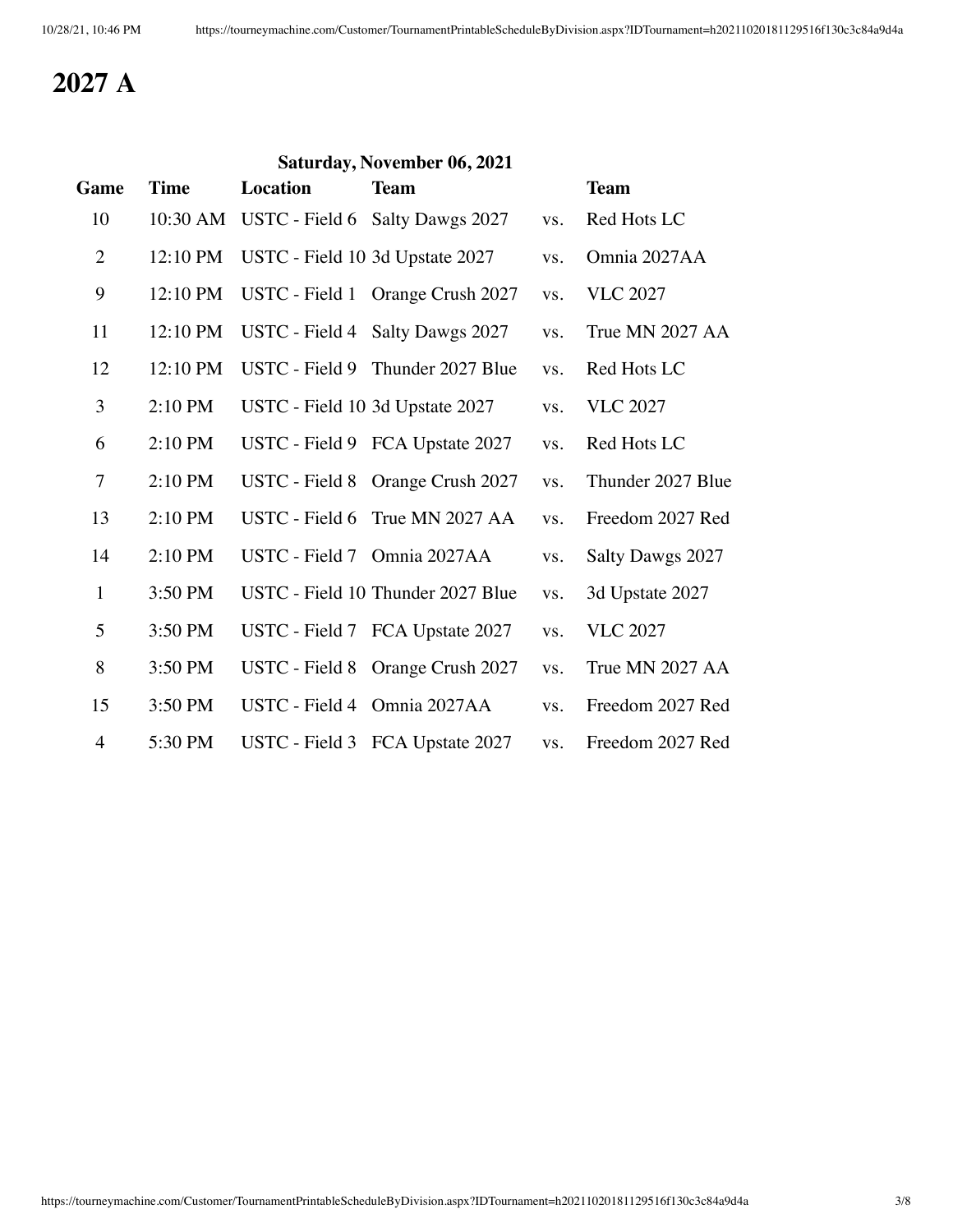## **2027 A**

| Saturday, November 06, 2021 |             |                             |                                   |     |                   |  |
|-----------------------------|-------------|-----------------------------|-----------------------------------|-----|-------------------|--|
| Game                        | <b>Time</b> | <b>Location</b>             | <b>Team</b>                       |     | <b>Team</b>       |  |
| 10                          | 10:30 AM    |                             | USTC - Field 6 Salty Dawgs 2027   | VS. | Red Hots LC       |  |
| $\overline{2}$              | 12:10 PM    |                             | USTC - Field 10 3d Upstate 2027   | VS. | Omnia 2027AA      |  |
| 9                           | 12:10 PM    |                             | USTC - Field 1 Orange Crush 2027  | VS. | <b>VLC 2027</b>   |  |
| 11                          | 12:10 PM    |                             | USTC - Field 4 Salty Dawgs 2027   | VS. | True MN 2027 AA   |  |
| 12                          | 12:10 PM    |                             | USTC - Field 9 Thunder 2027 Blue  | VS. | Red Hots LC       |  |
| 3                           | 2:10 PM     |                             | USTC - Field 10 3d Upstate 2027   | VS. | <b>VLC 2027</b>   |  |
| 6                           | 2:10 PM     |                             | USTC - Field 9 FCA Upstate 2027   | VS. | Red Hots LC       |  |
| $\tau$                      | 2:10 PM     |                             | USTC - Field 8 Orange Crush 2027  | VS. | Thunder 2027 Blue |  |
| 13                          | 2:10 PM     |                             | USTC - Field 6 True MN 2027 AA    | VS. | Freedom 2027 Red  |  |
| 14                          | 2:10 PM     | USTC - Field 7 Omnia 2027AA |                                   | VS. | Salty Dawgs 2027  |  |
| $\mathbf{1}$                | 3:50 PM     |                             | USTC - Field 10 Thunder 2027 Blue | VS. | 3d Upstate 2027   |  |
| 5                           | 3:50 PM     |                             | USTC - Field 7 FCA Upstate 2027   | VS. | <b>VLC 2027</b>   |  |
| 8                           | 3:50 PM     |                             | USTC - Field 8 Orange Crush 2027  | VS. | True MN 2027 AA   |  |
| 15                          | 3:50 PM     |                             | USTC - Field 4 Omnia 2027AA       | VS. | Freedom 2027 Red  |  |
| $\overline{4}$              | 5:30 PM     |                             | USTC - Field 3 FCA Upstate 2027   | VS. | Freedom 2027 Red  |  |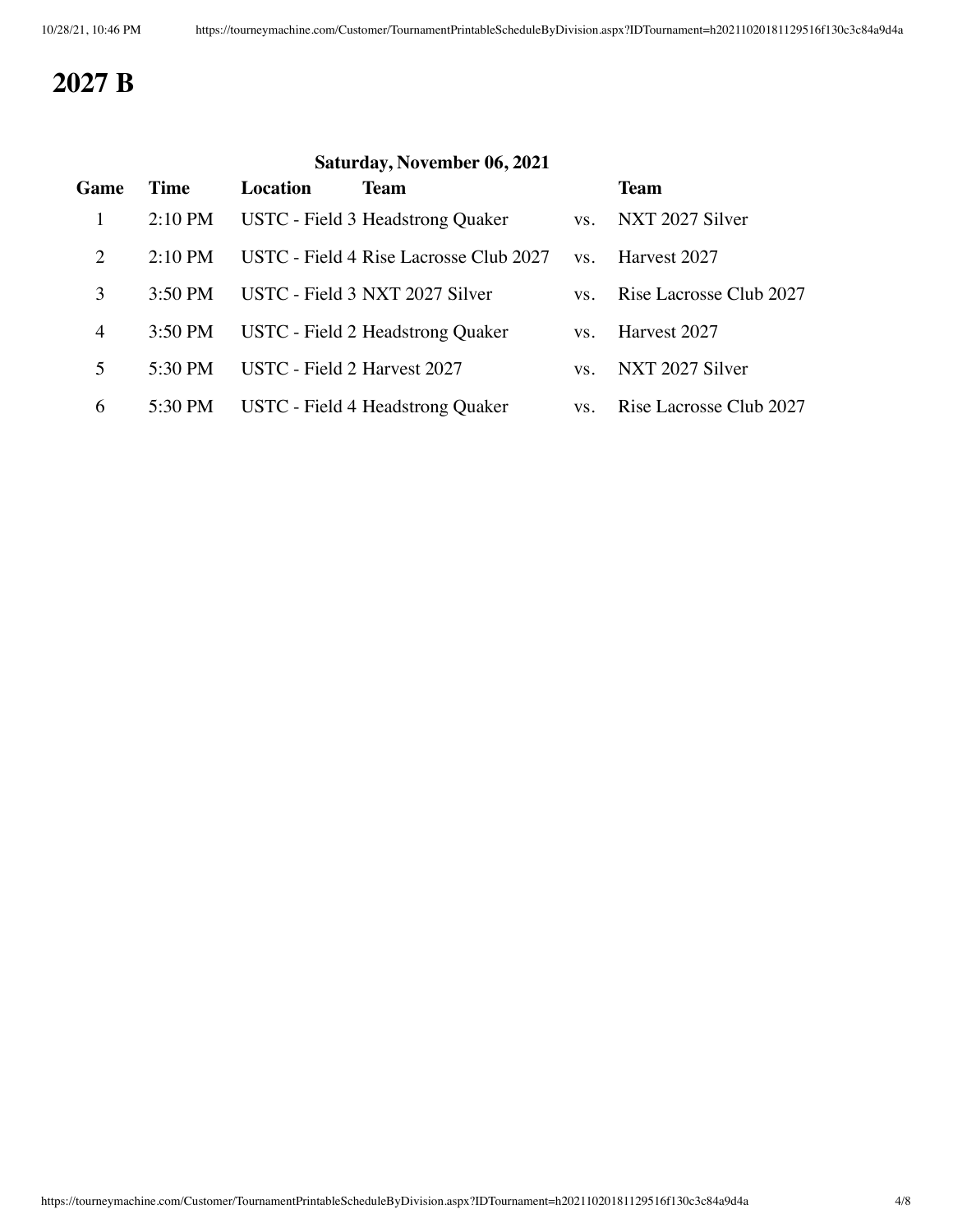## **2027 B**

## **Saturday, November 06, 2021 Game Time Location Team Team** 1 2:10 PM USTC - Field 3 Headstrong Quaker vs. NXT 2027 Silver 2 2:10 PM USTC - Field 4 Rise Lacrosse Club 2027 vs. Harvest 2027 3 3:50 PM USTC - Field 3 NXT 2027 Silver vs. Rise Lacrosse Club 2027 4 3:50 PM USTC - Field 2 Headstrong Quaker vs. Harvest 2027 5 5:30 PM USTC - Field 2 Harvest 2027 vs. NXT 2027 Silver 6 5:30 PM USTC - Field 4 Headstrong Quaker vs. Rise Lacrosse Club 2027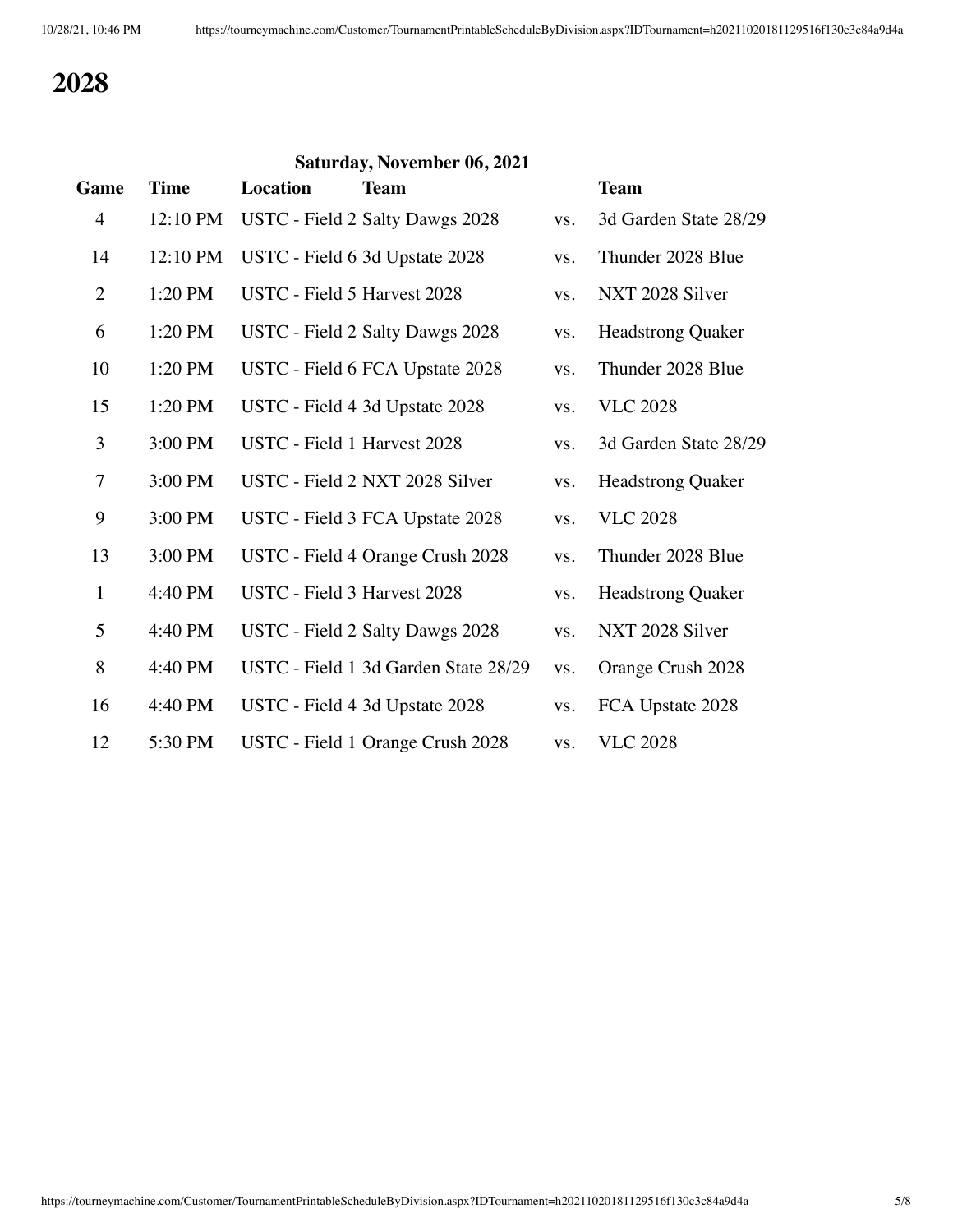# **Saturday, November 06, 2021 Game Time Location Team Team** 4 12:10 PM USTC - Field 2 Salty Dawgs 2028 vs. 3d Garden State 28/29 14 12:10 PM USTC - Field 6 3d Upstate 2028 vs. Thunder 2028 Blue 2 1:20 PM USTC - Field 5 Harvest 2028 vs. NXT 2028 Silver 6 1:20 PM USTC - Field 2 Salty Dawgs 2028 vs. Headstrong Quaker 10 1:20 PM USTC - Field 6 FCA Upstate 2028 vs. Thunder 2028 Blue 15 1:20 PM USTC - Field 4 3d Upstate 2028 vs. VLC 2028 3 3:00 PM USTC - Field 1 Harvest 2028 vs. 3d Garden State 28/29 7 3:00 PM USTC - Field 2 NXT 2028 Silver vs. Headstrong Quaker 9 3:00 PM USTC - Field 3 FCA Upstate 2028 vs. VLC 2028 13 3:00 PM USTC - Field 4 Orange Crush 2028 vs. Thunder 2028 Blue 1 4:40 PM USTC - Field 3 Harvest 2028 vs. Headstrong Quaker 5 4:40 PM USTC - Field 2 Salty Dawgs 2028 vs. NXT 2028 Silver 8 4:40 PM USTC - Field 1 3d Garden State 28/29 vs. Orange Crush 2028 16 4:40 PM USTC - Field 4 3d Upstate 2028 vs. FCA Upstate 2028 12 5:30 PM USTC - Field 1 Orange Crush 2028 vs. VLC 2028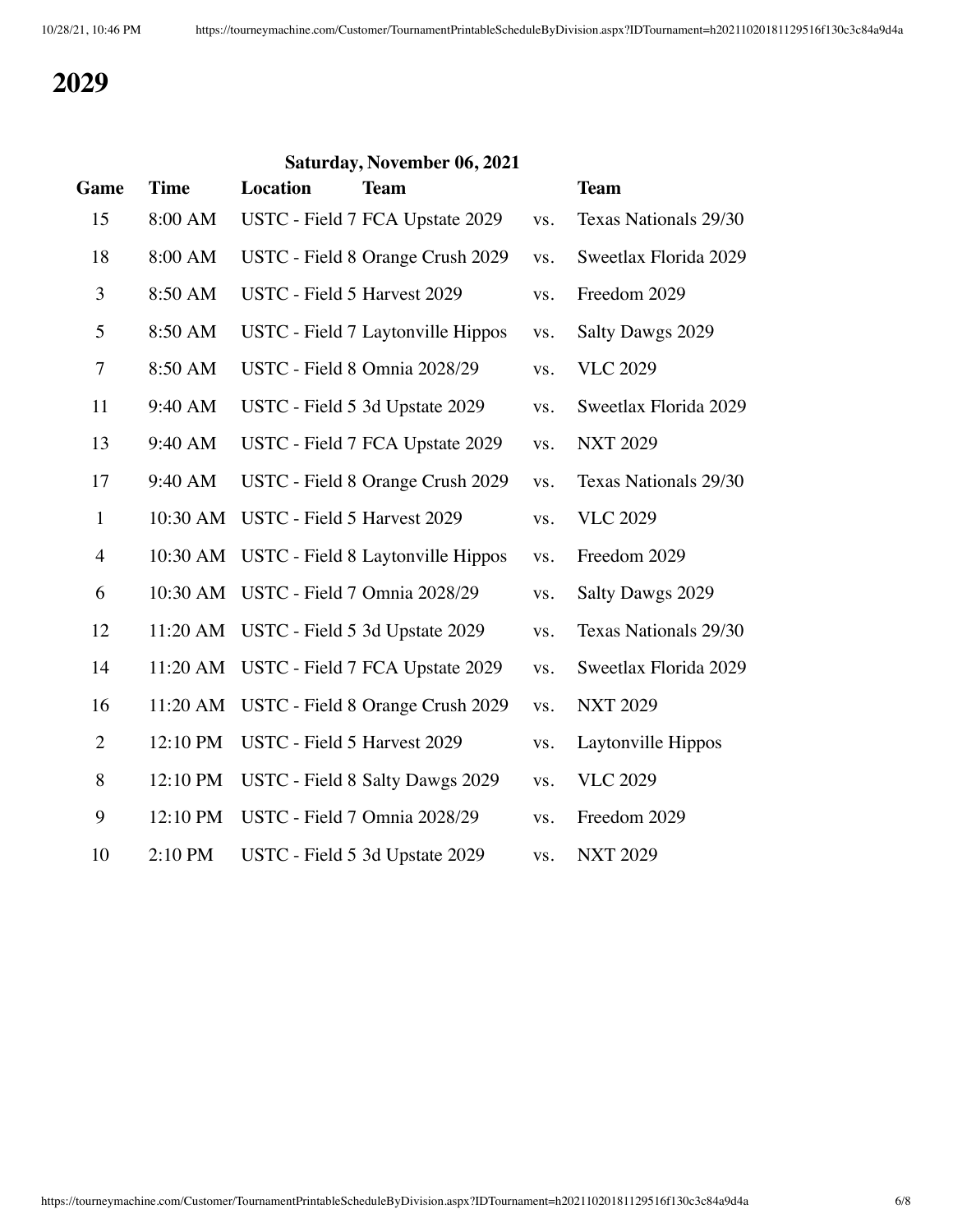| Game           | <b>Time</b> | <b>Location</b>                      | Saturday, November 06, 2021<br><b>Team</b> |     | <b>Team</b>           |
|----------------|-------------|--------------------------------------|--------------------------------------------|-----|-----------------------|
| 15             | 8:00 AM     |                                      | USTC - Field 7 FCA Upstate 2029            | VS. | Texas Nationals 29/30 |
| 18             | 8:00 AM     |                                      | USTC - Field 8 Orange Crush 2029           | VS. | Sweetlax Florida 2029 |
| 3              | 8:50 AM     | USTC - Field 5 Harvest 2029          |                                            | VS. | Freedom 2029          |
| 5              | 8:50 AM     |                                      | USTC - Field 7 Laytonville Hippos          | VS. | Salty Dawgs 2029      |
| 7              | 8:50 AM     |                                      | USTC - Field 8 Omnia 2028/29               | VS. | <b>VLC 2029</b>       |
| 11             | 9:40 AM     |                                      | USTC - Field 5 3d Upstate 2029             | VS. | Sweetlax Florida 2029 |
| 13             | 9:40 AM     |                                      | USTC - Field 7 FCA Upstate 2029            | VS. | <b>NXT 2029</b>       |
| 17             | 9:40 AM     |                                      | USTC - Field 8 Orange Crush 2029           | VS. | Texas Nationals 29/30 |
| $\mathbf{1}$   |             | 10:30 AM USTC - Field 5 Harvest 2029 |                                            | VS. | <b>VLC 2029</b>       |
| $\overline{4}$ |             |                                      | 10:30 AM USTC - Field 8 Laytonville Hippos | VS. | Freedom 2029          |
| 6              |             |                                      | 10:30 AM USTC - Field 7 Omnia 2028/29      | VS. | Salty Dawgs 2029      |
| 12             |             |                                      | 11:20 AM USTC - Field 5 3d Upstate 2029    | VS. | Texas Nationals 29/30 |
| 14             | 11:20 AM    |                                      | USTC - Field 7 FCA Upstate 2029            | VS. | Sweetlax Florida 2029 |
| 16             |             |                                      | 11:20 AM USTC - Field 8 Orange Crush 2029  | VS. | <b>NXT 2029</b>       |
| $\overline{2}$ | 12:10 PM    | USTC - Field 5 Harvest 2029          |                                            | VS. | Laytonville Hippos    |
| 8              | 12:10 PM    |                                      | USTC - Field 8 Salty Dawgs 2029            | VS. | <b>VLC 2029</b>       |
| 9              | 12:10 PM    |                                      | USTC - Field 7 Omnia 2028/29               | VS. | Freedom 2029          |
| 10             | 2:10 PM     |                                      | USTC - Field 5 3d Upstate 2029             | VS. | <b>NXT 2029</b>       |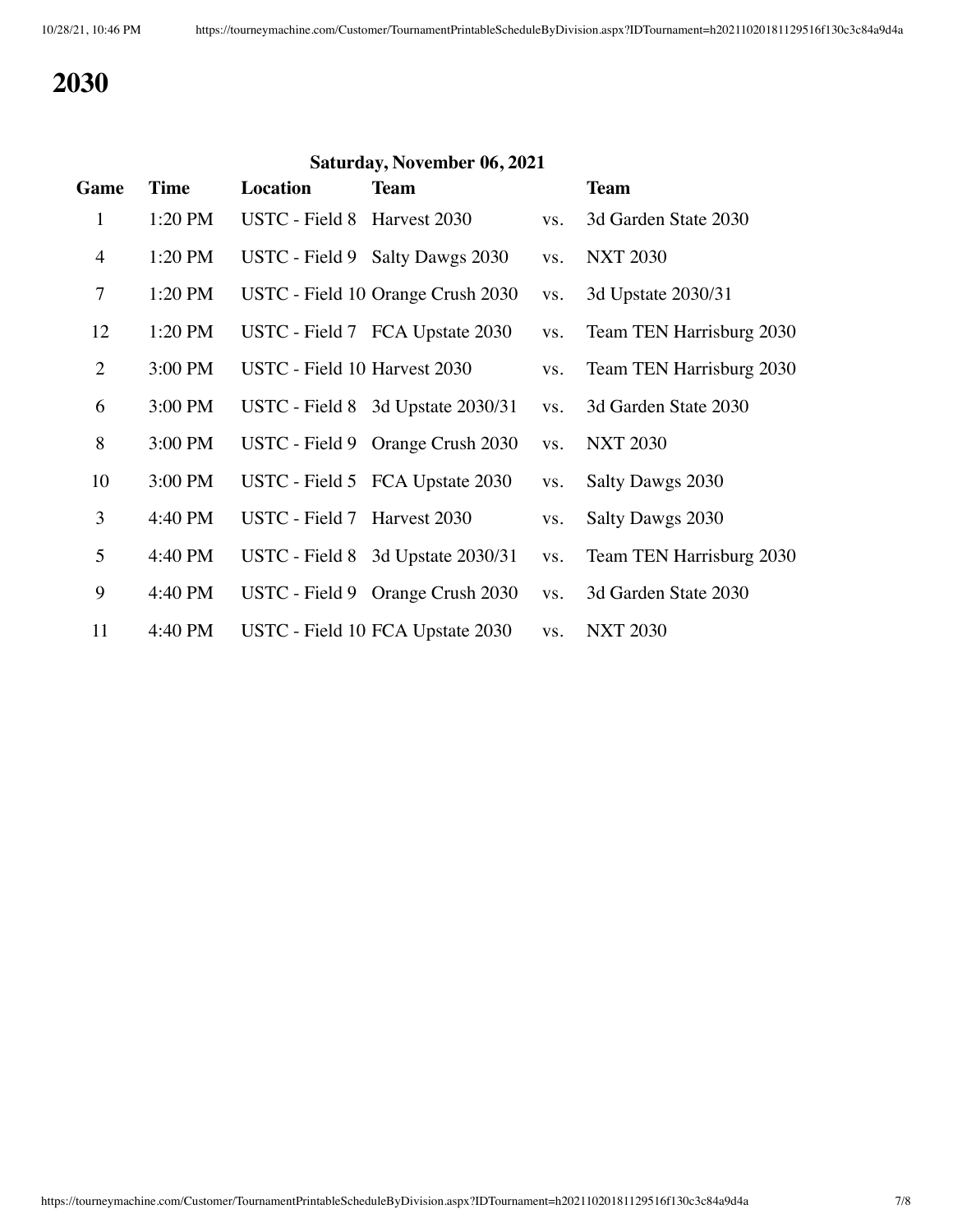| Saturday, November 06, 2021 |             |                              |                                   |     |                          |  |
|-----------------------------|-------------|------------------------------|-----------------------------------|-----|--------------------------|--|
| Game                        | <b>Time</b> | Location                     | <b>Team</b>                       |     | <b>Team</b>              |  |
| $\mathbf{1}$                | 1:20 PM     | USTC - Field 8 Harvest 2030  |                                   | VS. | 3d Garden State 2030     |  |
| $\overline{4}$              | 1:20 PM     |                              | USTC - Field 9 Salty Dawgs 2030   | VS. | <b>NXT 2030</b>          |  |
| 7                           | 1:20 PM     |                              | USTC - Field 10 Orange Crush 2030 | VS. | 3d Upstate 2030/31       |  |
| 12                          | 1:20 PM     |                              | USTC - Field 7 FCA Upstate 2030   | VS. | Team TEN Harrisburg 2030 |  |
| $\overline{2}$              | 3:00 PM     | USTC - Field 10 Harvest 2030 |                                   | VS. | Team TEN Harrisburg 2030 |  |
| 6                           | 3:00 PM     |                              | USTC - Field 8 3d Upstate 2030/31 | VS. | 3d Garden State 2030     |  |
| 8                           | 3:00 PM     |                              | USTC - Field 9 Orange Crush 2030  | VS. | <b>NXT 2030</b>          |  |
| 10                          | 3:00 PM     |                              | USTC - Field 5 FCA Upstate 2030   | VS. | Salty Dawgs 2030         |  |
| 3                           | 4:40 PM     | USTC - Field 7 Harvest 2030  |                                   | VS. | Salty Dawgs 2030         |  |
| 5                           | 4:40 PM     |                              | USTC - Field 8 3d Upstate 2030/31 | VS. | Team TEN Harrisburg 2030 |  |
| 9                           | 4:40 PM     |                              | USTC - Field 9 Orange Crush 2030  | VS. | 3d Garden State 2030     |  |
| 11                          | 4:40 PM     |                              | USTC - Field 10 FCA Upstate 2030  | VS. | <b>NXT 2030</b>          |  |